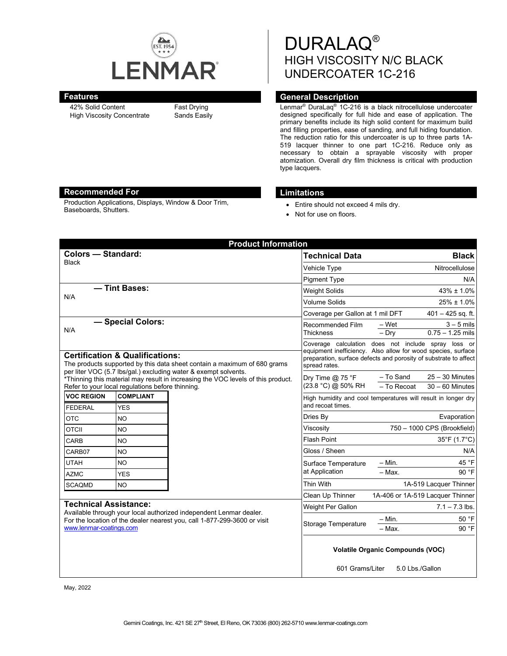

42% Solid Content High Viscosity Concentrate Fast Drying Sands Easily DURALAQ® HIGH VISCOSITY N/C BLACK UNDERCOATER 1C-216

# **Features General Description**

Lenmar® DuraLaq® 1C-216 is a black nitrocellulose undercoater designed specifically for full hide and ease of application. The primary benefits include its high solid content for maximum build and filling properties, ease of sanding, and full hiding foundation. The reduction ratio for this undercoater is up to three parts 1A-519 lacquer thinner to one part 1C-216. Reduce only as necessary to obtain a sprayable viscosity with proper atomization. Overall dry film thickness is critical with production type lacquers.

## **Recommended For Limitations**

Production Applications, Displays, Window & Door Trim, Baseboards, Shutters. • Entire should not exceed 4 mils dry.

- 
- Not for use on floors.

| <b>Product Information</b>                                                                                                                                                                                                                                                                                                        |                                |              |                                                                                                                                                                                                          |                             |                                        |  |
|-----------------------------------------------------------------------------------------------------------------------------------------------------------------------------------------------------------------------------------------------------------------------------------------------------------------------------------|--------------------------------|--------------|----------------------------------------------------------------------------------------------------------------------------------------------------------------------------------------------------------|-----------------------------|----------------------------------------|--|
| <b>Colors - Standard:</b>                                                                                                                                                                                                                                                                                                         |                                |              | <b>Technical Data</b>                                                                                                                                                                                    | <b>Black</b>                |                                        |  |
| <b>Black</b>                                                                                                                                                                                                                                                                                                                      |                                | Vehicle Type |                                                                                                                                                                                                          | Nitrocellulose              |                                        |  |
|                                                                                                                                                                                                                                                                                                                                   |                                |              | <b>Pigment Type</b>                                                                                                                                                                                      |                             | N/A                                    |  |
| - Tint Bases:<br>N/A                                                                                                                                                                                                                                                                                                              |                                |              | <b>Weight Solids</b>                                                                                                                                                                                     | $43\% \pm 1.0\%$            |                                        |  |
|                                                                                                                                                                                                                                                                                                                                   |                                |              | <b>Volume Solids</b>                                                                                                                                                                                     | $25\% \pm 1.0\%$            |                                        |  |
|                                                                                                                                                                                                                                                                                                                                   |                                |              | Coverage per Gallon at 1 mil DFT                                                                                                                                                                         | $401 - 425$ sq. ft.         |                                        |  |
| - Special Colors:<br>N/A                                                                                                                                                                                                                                                                                                          |                                |              | Recommended Film<br><b>Thickness</b>                                                                                                                                                                     | – Wet<br>$-Dry$             | $3 - 5$ mils<br>$0.75 - 1.25$ mils     |  |
| <b>Certification &amp; Qualifications:</b><br>The products supported by this data sheet contain a maximum of 680 grams<br>per liter VOC (5.7 lbs/gal.) excluding water & exempt solvents.<br>*Thinning this material may result in increasing the VOC levels of this product.<br>Refer to your local regulations before thinning. |                                |              | Coverage calculation does not include spray loss or<br>equipment inefficiency. Also allow for wood species, surface<br>preparation, surface defects and porosity of substrate to affect<br>spread rates. |                             |                                        |  |
|                                                                                                                                                                                                                                                                                                                                   |                                |              | Dry Time $@$ 75 °F<br>(23.8 °C) @ 50% RH                                                                                                                                                                 | - To Sand<br>- To Recoat    | $25 - 30$ Minutes<br>$30 - 60$ Minutes |  |
| <b>VOC REGION</b><br><b>FEDERAL</b>                                                                                                                                                                                                                                                                                               | <b>COMPLIANT</b><br><b>YES</b> |              | High humidity and cool temperatures will result in longer dry<br>and recoat times.                                                                                                                       |                             |                                        |  |
| <b>OTC</b>                                                                                                                                                                                                                                                                                                                        | <b>NO</b>                      |              | Dries By                                                                                                                                                                                                 |                             | Evaporation                            |  |
| <b>OTCII</b>                                                                                                                                                                                                                                                                                                                      | <b>NO</b>                      |              | Viscosity                                                                                                                                                                                                | 750 - 1000 CPS (Brookfield) |                                        |  |
| CARB                                                                                                                                                                                                                                                                                                                              | <b>NO</b>                      |              | <b>Flash Point</b>                                                                                                                                                                                       |                             | 35°F (1.7°C)                           |  |
| CARB07                                                                                                                                                                                                                                                                                                                            | NO.                            |              | Gloss / Sheen                                                                                                                                                                                            |                             | N/A                                    |  |
| <b>UTAH</b>                                                                                                                                                                                                                                                                                                                       | NO.                            |              | Surface Temperature<br>at Application                                                                                                                                                                    | $- Min.$                    | 45 °F                                  |  |
| <b>AZMC</b>                                                                                                                                                                                                                                                                                                                       | <b>YES</b>                     |              |                                                                                                                                                                                                          | $-Max$ .                    | 90 °F                                  |  |
| <b>SCAQMD</b>                                                                                                                                                                                                                                                                                                                     | <b>NO</b>                      |              | Thin With                                                                                                                                                                                                |                             | 1A-519 Lacquer Thinner                 |  |
|                                                                                                                                                                                                                                                                                                                                   |                                |              | Clean Up Thinner                                                                                                                                                                                         |                             | 1A-406 or 1A-519 Lacquer Thinner       |  |
| <b>Technical Assistance:</b><br>Available through your local authorized independent Lenmar dealer.<br>For the location of the dealer nearest you, call 1-877-299-3600 or visit<br>www.lenmar-coatings.com                                                                                                                         |                                |              | <b>Weight Per Gallon</b>                                                                                                                                                                                 |                             | $7.1 - 7.3$ lbs.                       |  |
|                                                                                                                                                                                                                                                                                                                                   |                                |              | <b>Storage Temperature</b>                                                                                                                                                                               | $-$ Min.<br>$-Max$ .        | 50 °F<br>90 °F                         |  |
|                                                                                                                                                                                                                                                                                                                                   |                                |              | <b>Volatile Organic Compounds (VOC)</b><br>601 Grams/Liter<br>5.0 Lbs./Gallon                                                                                                                            |                             |                                        |  |

May, 2022